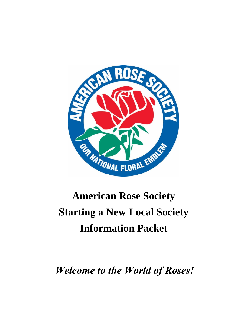

# **American Rose Society Starting a New Local Society Information Packet**

*Welcome to the World of Roses!*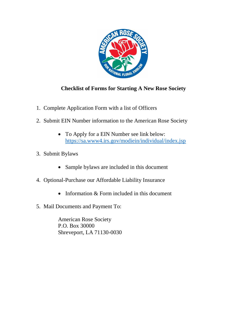

## **Checklist of Forms for Starting A New Rose Society**

- 1. Complete Application Form with a list of Officers
- 2. Submit EIN Number information to the American Rose Society
	- To Apply for a EIN Number see link below: <https://sa.www4.irs.gov/modiein/individual/index.jsp>
- 3. Submit Bylaws
	- Sample bylaws are included in this document
- 4. Optional-Purchase our Affordable Liability Insurance
	- Information & Form included in this document
- 5. Mail Documents and Payment To:

American Rose Society P.O. Box 30000 Shreveport, LA 71130-0030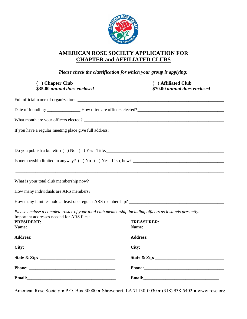

## **AMERICAN ROSE SOCIETY APPLICATION FOR CHAPTER and AFFILIATED CLUBS**

*Please check the classification for which your group is applying:*

| ( ) Chapter Club<br>\$35.00 annual dues enclosed |  | ( ) Affiliated Club<br>\$70.00 annual dues enclosed                                                                  |
|--------------------------------------------------|--|----------------------------------------------------------------------------------------------------------------------|
|                                                  |  |                                                                                                                      |
|                                                  |  |                                                                                                                      |
|                                                  |  |                                                                                                                      |
|                                                  |  |                                                                                                                      |
|                                                  |  |                                                                                                                      |
|                                                  |  |                                                                                                                      |
|                                                  |  | <u> 1999 - Jan James James James James James James James James James James James James James James James James J</u> |
|                                                  |  |                                                                                                                      |
|                                                  |  |                                                                                                                      |
| Important addresses needed for ARS files:        |  | Please enclose a complete roster of your total club membership including officers as it stands presently.            |
| <b>PRESIDENT:</b>                                |  | <b>TREASURER:</b>                                                                                                    |
|                                                  |  |                                                                                                                      |
|                                                  |  |                                                                                                                      |
|                                                  |  |                                                                                                                      |
|                                                  |  |                                                                                                                      |
|                                                  |  |                                                                                                                      |
|                                                  |  |                                                                                                                      |

American Rose Society ● P.O. Box 30000 ● Shreveport, LA 71130-0030 ● (318) 938-5402 ● www.rose.org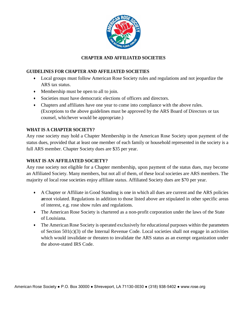

## **CHAPTER AND AFFILIATED SOCIETIES**

### **GUIDELINES FOR CHAPTER AND AFFILIATED SOCIETIES**

- Local groups must follow American Rose Society rules and regulations and not jeopardize the ARS tax status.
- Membership must be open to all to join.
- Societies must have democratic elections of officers and directors.
- Chapters and affiliates have one year to come into compliance with the above rules. (Exceptions to the above guidelines must be approved by the ARS Board of Directors or tax counsel, whichever would be appropriate.)

## **WHAT IS A CHAPTER SOCIETY?**

Any rose society may hold a Chapter Membership in the American Rose Society upon payment of the status dues, provided that at least one member of each family or household represented in the society is a full ARS member. Chapter Society dues are \$35 per year.

## **WHAT IS AN AFFILIATED SOCIETY?**

Any rose society not eligible for a Chapter membership, upon payment of the status dues, may become an Affiliated Society. Many members, but not all of them, of these local societies are ARS members. The majority of local rose societies enjoy affiliate status. Affiliated Society dues are \$70 per year.

- A Chapter or Affiliate in Good Standing is one in which all dues are current and the ARS policies are not violated. Regulations in addition to those listed above are stipulated in other specific areas of interest, e.g. rose show rules and regulations.
- The American Rose Society is chartered as a non-profit corporation under the laws of the State of Louisiana.
- The American Rose Society is operated exclusively for educational purposes within the parameters of Section 501(c)(3) of the Internal Revenue Code. Local societies shall not engage in activities which would invalidate or threaten to invalidate the ARS status as an exempt organization under the above-stated IRS Code.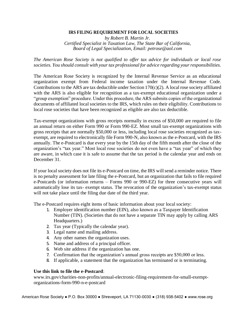#### **IRS FILING REQUIREMENT FOR LOCAL SOCIETIES**

*by Robert B. Martin Jr. Certified Specialist in Taxation Law, The State Bar of California, Board of Legal Specialization, Email: petrose@aol.com*

*The American Rose Society is not qualified to offer tax advice for individuals or local rose societies. You should consult with your tax professional for advice regarding your responsibilities.*

The American Rose Society is recognized by the Internal Revenue Service as an educational organization exempt from Federal income taxation under the Internal Revenue Code. Contributions to the ARS are tax deductible under Section 170(c)(2). A local rose society affiliated with the ARS is also eligible for recognition as a tax-exempt educational organization under a "group exemption" procedure. Under this procedure, the ARS submits copies of the organizational documents of affiliated local societies to the IRS, which rules on their eligibility. Contributions to local rose societies that have been recognized as eligible are also tax deductible.

Tax-exempt organizations with gross receipts normally in excess of \$50,000 are required to file an annual return on either Form 990 or Form 990-EZ. Most small tax-exempt organizations with gross receipts that are normally \$50,000 or less, including local rose societies recognized as taxexempt, are required to electronically file Form 990-N, also known as the e-Postcard, with the IRS annually. The e-Postcard is due every year by the 15th day of the fifth month after the close of the organization's "tax year." Most local rose societies do not even have a "tax year" of which they are aware, in which case it is safe to assume that the tax period is the calendar year and ends on December 31.

If your local society does not file its e-Postcard on time, the IRS will send a reminder notice. There is no penalty assessment for late filing the e-Postcard, but an organization that fails to file required e-Postcards (or information returns – Forms 990 or 990-EZ) for three consecutive years will automatically lose its tax- exempt status. The revocation of the organization's tax-exempt status will not take place until the filing due date of the third year.

The e-Postcard requires eight items of basic information about your local society:

- 1. Employer identification number (EIN), also known as a Taxpayer Identification Number (TIN). (Societies that do not have a separate TIN may apply by calling ARS Headquarters.)
- 2. Tax year (Typically the calendar year).
- 3. Legal name and mailing address.
- 4. Any other names the organization uses.
- 5. Name and address of a principal officer.
- 6. Web site address if the organization has one.
- 7. Confirmation that the organization's annual gross receipts are \$50,000 or less.
- 8. If applicable, a statement that the organization has terminated or is terminating.

#### **Use this link to file the e-Postcard**:

www.irs.gov/charities-non-profits/annual-electronic-filing-requirement-for-small-exemptorganizations-form-990-n-e-postcard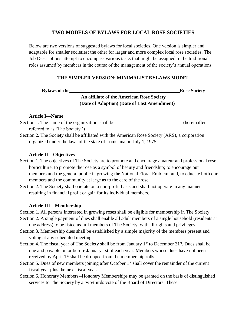## **TWO MODELS OF BYLAWS FOR LOCAL ROSE SOCIETIES**

Below are two versions of suggested bylaws for local societies. One version is simpler and adaptable for smaller societies; the other for larger and more complex local rose societies. The Job Descriptions attempt to encompass various tasks that might be assigned to the traditional roles assumed by members in the course of the management of the society's annual operations.

## **THE SIMPLER VERSION: MINIMALIST BYLAWS MODEL**

**Bylaws** of the Rose Society

## **An affiliate of the American Rose Society (Date of Adoption) (Date of Last Amendment)**

#### **Article I—Name**

Section 1. The name of the organization shall be (hereinafter referred to as 'The Society.')

Section 2. The Society shall be affiliated with the American Rose Society (ARS), a corporation organized under the laws of the state of Louisiana on July 1, 1975.

#### **Article II—Objectives**

- Section 1. The objectives of The Society are to promote and encourage amateur and professional rose horticulture; to promote the rose as a symbol of beauty and friendship; to encourage our members and the general public in growing the National Floral Emblem; and, to educate both our members and the community at large as to the care of the rose.
- Section 2. The Society shall operate on a non-profit basis and shall not operate in any manner resulting in financial profit or gain for its individual members.

#### **Article III—Membership**

Section 1. All persons interested in growing roses shall be eligible for membership in The Society. Section 2. A single payment of dues shall enable all adult members of a single household (residents at

one address) to be listed as full members of The Society, with all rights and privileges.

- Section 3. Membership dues shall be established by a simple majority of the members present and voting at any scheduled meeting.
- Section 4. The fiscal year of The Society shall be from January  $1<sup>st</sup>$  to December  $31<sup>st</sup>$ . Dues shall be due and payable on or before January 1st of each year. Members whose dues have not been received by April 1<sup>st</sup> shall be dropped from the membership rolls.
- Section 5. Dues of new members joining after October  $1<sup>st</sup>$  shall cover the remainder of the current fiscal year plus the next fiscal year.
- Section 6. Honorary Members--Honorary Memberships may be granted on the basis of distinguished services to The Society by a two/thirds vote of the Board of Directors. These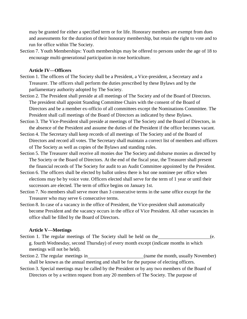may be granted for either a specified term or for life. Honorary members are exempt from dues and assessments for the duration of their honorary membership, but retain the right to vote and to run for office within The Society.

Section 7. Youth Memberships: Youth memberships may be offered to persons under the age of 18 to encourage multi-generational participation in rose horticulture.

#### **Article IV—Officers**

- Section 1. The officers of The Society shall be a President, a Vice-president, a Secretary and a Treasurer. The officers shall perform the duties prescribed by these Bylaws and by the parliamentary authority adopted by The Society.
- Section 2. The President shall preside at all meetings of The Society and of the Board of Directors. The president shall appoint Standing Committee Chairs with the consent of the Board of Directors and be a member ex-officio of all committees except the Nominations Committee. The President shall call meetings of the Board of Directors as indicated by these Bylaws.
- Section 3. The Vice-President shall preside at meetings of The Society and the Board of Directors, in the absence of the President and assume the duties of the President if the office becomes vacant.
- Section 4. The Secretary shall keep records of all meetings of The Society and of the Board of Directors and record all votes. The Secretary shall maintain a correct list of members and officers of The Society as well as copies of the Bylaws and standing rules.
- Section 5. The Treasurer shall receive all monies due The Society and disburse monies as directed by The Society or the Board of Directors. At the end of the fiscal year, the Treasurer shall present the financial records of The Society for audit to an Audit Committee appointed by the President.
- Section 6. The officers shall be elected by ballot unless there is but one nominee per office when elections may be by voice vote. Officers elected shall serve for the term of 1 year or until their successors are elected. The term of office begins on January 1st.
- Section 7. No members shall serve more than 3 consecutive terms in the same office except for the Treasurer who may serve 6 consecutive terms.
- Section 8. In case of a vacancy in the office of President, the Vice-president shall automatically become President and the vacancy occurs in the office of Vice President. All other vacancies in office shall be filled by the Board of Directors.

#### **Article V—Meetings**

- Section 1. The regular meetings of The Society shall be held on the (e. g. fourth Wednesday, second Thursday) of every month except (indicate months in which meetings will not be held).
- Section 2. The regular meetings in (name the month, usually November) shall be known as the annual meeting and shall be for the purpose of electing officers.
- Section 3. Special meetings may be called by the President or by any two members of the Board of Directors or by a written request from any 20 members of The Society. The purpose of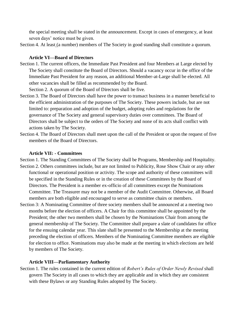the special meeting shall be stated in the announcement. Except in cases of emergency, at least seven days' notice must be given.

Section 4. At least (a number) members of The Society in good standing shall constitute a quorum.

### **Article VI—Board of Directors**

Section 1. The current officers, the Immediate Past President and four Members at Large elected by The Society shall constitute the Board of Directors. Should a vacancy occur in the office of the Immediate Past President for any reason, an additional Member-at-Large shall be elected. All other vacancies shall be filled as recommended by the Board.

Section 2. A quorum of the Board of Directors shall be five.

- Section 3. The Board of Directors shall have the power to transact business in a manner beneficial to the efficient administration of the purposes of The Society. These powers include, but are not limited to: preparation and adoption of the budget, adopting rules and regulations for the governance of The Society and general supervisory duties over committees. The Board of Directors shall be subject to the orders of The Society and none of its acts shall conflict with actions taken by The Society.
- Section 4. The Board of Directors shall meet upon the call of the President or upon the request of five members of the Board of Directors.

### **Article VII: - Committees**

Section 1. The Standing Committees of The Society shall be Programs, Membership and Hospitality. Section 2. Others committees include, but are not limited to Publicity, Rose Show Chair or any other functional or operational position or activity. The scope and authority of these committees will be specified in the Standing Rules or in the creation of these Committees by the Board of Directors. The President is a member ex-officio of all committees except the Nominations Committee. The Treasurer may not be a member of the Audit Committee. Otherwise, all Board members are both eligible and encouraged to serve as committee chairs or members.

Section 3: A Nominating Committee of three society members shall be announced at a meeting two months before the election of officers. A Chair for this committee shall be appointed by the President; the other two members shall be chosen by the Nominations Chair from among the general membership of The Society. The Committee shall prepare a slate of candidates for office for the ensuing calendar year. This slate shall be presented to the Membership at the meeting preceding the election of officers. Members of the Nominating Committee members are eligible for election to office. Nominations may also be made at the meeting in which elections are held by members of The Society.

## **Article VIII—Parliamentary Authority**

Section 1. The rules contained in the current edition of *Robert's Rules of Order Newly Revised* shall govern The Society in all cases to which they are applicable and in which they are consistent with these Bylaws or any Standing Rules adopted by The Society.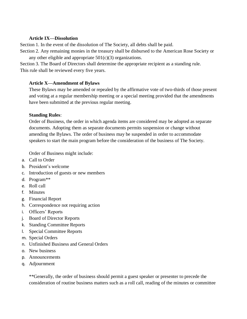### **Article IX—Dissolution**

Section 1. In the event of the dissolution of The Society, all debts shall be paid.

Section 2. Any remaining monies in the treasury shall be disbursed to the American Rose Society or any other eligible and appropriate  $501(c)(3)$  organizations.

Section 3. The Board of Directors shall determine the appropriate recipient as a standing rule. This rule shall be reviewed every five years.

## **Article X—Amendment of Bylaws**

These Bylaws may be amended or repealed by the affirmative vote of two-thirds of those present and voting at a regular membership meeting or a special meeting provided that the amendments have been submitted at the previous regular meeting.

## **Standing Rules**:

Order of Business, the order in which agenda items are considered may be adopted as separate documents. Adopting them as separate documents permits suspension or change without amending the Bylaws. The order of business may be suspended in order to accommodate speakers to start the main program before the consideration of the business of The Society.

Order of Business might include:

- a. Call to Order
- b. President's welcome
- c. Introduction of guests or new members
- d. Program\*\*
- e. Roll call
- f. Minutes
- g. Financial Report
- h. Correspondence not requiring action
- i. Officers' Reports
- j. Board of Director Reports
- k. Standing Committee Reports
- l. Special Committee Reports
- m. Special Orders
- n. Unfinished Business and General Orders
- o. New business
- p. Announcements
- q. Adjournment

\*\*Generally, the order of business should permit a guest speaker or presenter to precede the consideration of routine business matters such as a roll call, reading of the minutes or committee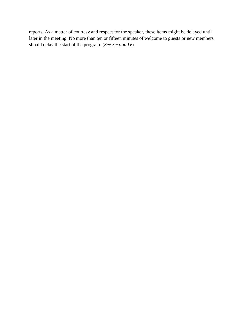reports. As a matter of courtesy and respect for the speaker, these items might be delayed until later in the meeting. No more than ten or fifteen minutes of welcome to guests or new members should delay the start of the program. (*See Section IV*)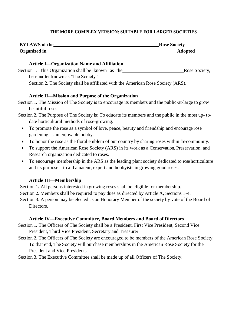### **THE MORE COMPLEX VERSION: SUITABLE FOR LARGER SOCIETIES**

| <b>BYLAWS</b> of the | <b>Rose Society</b> |
|----------------------|---------------------|
| Organized in         | <b>Adopted</b>      |

#### **Article I—Organization Name and Affiliation**

| Section 1. This Organization shall be known as the                               | Rose Society, |
|----------------------------------------------------------------------------------|---------------|
| hereinafter known as 'The Society.'                                              |               |
| Section 2. The Society shall be affiliated with the American Rose Society (ARS). |               |

#### **Article II—Mission and Purpose of the Organization**

Section 1*.* The Mission of The Society is to encourage its members and the public-at-large to grow beautiful roses.

Section 2. The Purpose of The Society is: To educate its members and the public in the most up- todate horticultural methods of rose-growing.

- To promote the rose as a symbol of love, peace, beauty and friendship and encourage rose gardening as an enjoyable hobby.
- To honor the rose as the floral emblem of our country by sharing roses within the community.
- To support the American Rose Society (ARS) in its work as a Conservation, Preservation, and Research organization dedicated to roses.
- To encourage membership in the ARS as the leading plant society dedicated to rose horticulture and its purpose—to aid amateur, expert and hobbyists in growing good roses.

#### **Article III—Membership**

Section 1*.* All persons interested in growing roses shall be eligible for membership. Section 2. Members shall be required to pay dues as directed by Article X, Sections 1-4. Section 3. A person may be elected as an Honorary Member of the society by vote of the Board of Directors.

#### **Article IV—Executive Committee, Board Members and Board of Directors**

Section 1*.* The Officers of The Society shall be a President, First Vice President, Second Vice President, Third Vice President, Secretary and Treasurer.

Section 2. The Officers of The Society are encouraged to be members of the American Rose Society. To that end, The Society will purchase memberships in the American Rose Society for the President and Vice Presidents.

Section 3. The Executive Committee shall be made up of all Officers of The Society.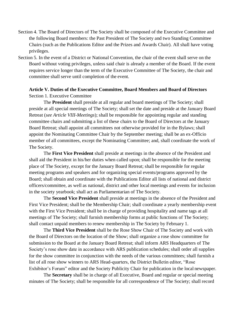- Section 4. The Board of Directors of The Society shall be composed of the Executive Committee and the following Board members: the Past President of The Society and two Standing Committee Chairs (such as the Publications Editor and the Prizes and Awards Chair). All shall have voting privileges.
- Section 5. In the event of a District or National Convention, the chair of the event shall serve on the Board without voting privileges, unless said chair is already a member of the Board. If the event requires service longer than the term of the Executive Committee of The Society, the chair and committee shall serve until completion of the event.

## **Article V. Duties of the Executive Committee, Board Members and Board of Directors** Section 1. Executive Committee

The **President** shall preside at all regular and board meetings of The Society; shall preside at all special meetings of The Society; shall set the date and preside at the January Board Retreat (*see Article VIII-Meetings*); shall be responsible for appointing regular and standing committee chairs and submitting a list of these chairs to the Board of Directors at the January Board Retreat; shall appoint all committees not otherwise provided for in the Bylaws; shall appoint the Nominating Committee Chair by the September meeting; shall be an ex-Officio member of all committees, except the Nominating Committee; and, shall coordinate the work of The Society.

The **First Vice President** shall preside at meetings in the absence of the President and shall aid the President in his/her duties when called upon; shall be responsible for the meeting place of The Society, except for the January Board Retreat; shall be responsible for regular meeting programs and speakers and for organizing special events/programs approved by the Board; shall obtain and coordinate with the Publications Editor all lists of national and district officers/committee, as well as national, district and other local meetings and events for inclusion in the society yearbook; shall act as Parliamentarian of The Society.

The **Second Vice President** shall preside at meetings in the absence of the President and First Vice President; shall be the Membership Chair; shall coordinate a yearly membership event with the First Vice President; shall be in charge of providing hospitality and name tags at all meetings of The Society; shall furnish membership forms at public functions of The Society; shall contact unpaid members to renew membership in The Society by February 1.

The **Third Vice President** shall be the Rose Show Chair of The Society and work with the Board of Directors on the location of the Show; shall organize a rose show committee for submission to the Board at the January Board Retreat; shall inform ARS Headquarters of The Society's rose show date in accordance with ARS publication schedules; shall order all supplies for the show committee in conjunction with the needs of the various committees; shall furnish a list of all rose show winners to ARS Head-quarters, the District Bulletin editor, "Rose Exhibitor's Forum" editor and the Society Publicity Chair for publication in the local newspaper.

The **Secretary** shall be in charge of all Executive, Board and regular or special meeting minutes of The Society; shall be responsible for all correspondence of The Society; shall record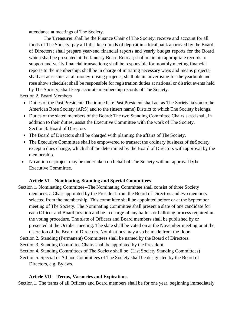attendance at meetings of The Society.

The **Treasurer** shall be the Finance Chair of The Society; receive and account for all funds of The Society; pay all bills, keep funds of deposit in a local bank approved by the Board of Directors; shall prepare year-end financial reports and yearly budget reports for the Board which shall be presented at the January Board Retreat; shall maintain appropriate records to support and verify financial transactions; shall be responsible for monthly meeting financial reports to the membership; shall be in charge of initiating necessary ways and means projects; shall act as cashier at all money-raising projects; shall obtain advertising for the yearbook and rose show schedule; shall be responsible for registration duties at national or district events held by The Society; shall keep accurate membership records of The Society.

Section 2. Board Members

- Duties of the Past President: The immediate Past President shall act as The Society liaison to the American Rose Society (ARS) and to the (insert name) District to which The Society belongs.
- Duties of the slated members of the Board: The two Standing Committee Chairs slated shall, in addition to their duties, assist the Executive Committee with the work of The Society. Section 3. Board of Directors
- The Board of Directors shall be charged with planning the affairs of The Society.
- The Executive Committee shall be empowered to transact the ordinary business of the Society, except a dues change, which shall be determined by the Board of Directors with approval by the membership.
- No action or project may be undertaken on behalf of The Society without approval by the Executive Committee.

## **Article VI—Nominating, Standing and Special Committees**

- Section 1. Nominating Committee--The Nominating Committee shall consist of three Society members: a Chair appointed by the President from the Board of Directors and two members selected from the membership. This committee shall be appointed before or at the September meeting of The Society. The Nominating Committee shall present a slate of one candidate for each Officer and Board position and be in charge of any ballots or balloting process required in the voting procedure. The slate of Officers and Board members shall be published by or presented at the October meeting. The slate shall be voted on at the November meeting or at the discretion of the Board of Directors. Nominations may also be made from the floor.
- Section 2. Standing (Permanent) Committees shall be named by the Board of Directors.
- Section 3. Standing Committee Chairs shall be appointed by the President.
- Section 4. Standing Committees of The Society shall be: (List Society Standing Committees)
- Section 5. Special or Ad hoc Committees of The Society shall be designated by the Board of Directors, e.g. Bylaws.

#### **Article VII—Terms, Vacancies and Expirations**

Section 1. The terms of all Officers and Board members shall be for one year, beginning immediately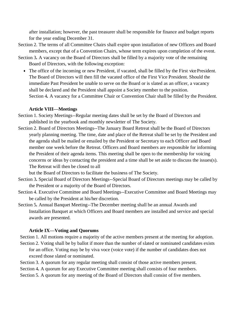after installation; however, the past treasurer shall be responsible for finance and budget reports for the year ending December 31.

- Section 2. The terms of all Committee Chairs shall expire upon installation of new Officers and Board members, except that of a Convention Chairs, whose term expires upon completion of the event.
- Section 3*.* A vacancy on the Board of Directors shall be filled by a majority vote of the remaining Board of Directors, with the following exception:
	- The office of the incoming or new President, if vacated, shall be filled by the First vice President. The Board of Directors will then fill the vacated office of the First Vice President. Should the immediate Past President be unable to serve on the Board or is slated as an officer, a vacancy shall be declared and the President shall appoint a Society member to the position. Section 4*.* A vacancy for a Committee Chair or Convention Chair shall be filled by the President.

### **Article VIII—Meetings**

- Section 1. Society Meetings--Regular meeting dates shall be set by the Board of Directors and published in the yearbook and monthly newsletter of The Society.
- Section 2. Board of Directors Meetings--The January Board Retreat shall be the Board of Directors yearly planning meeting. The time, date and place of the Retreat shall be set by the President and the agenda shall be mailed or emailed by the President or Secretary to each Officer and Board member one week before the Retreat. Officers and Board members are responsible for informing the President of their agenda items. This meeting shall be open to the membership for voicing concerns or ideas by contacting the president and a time shall be set aside to discuss the issues(s). The Retreat will then be closed to all

but the Board of Directors to facilitate the business of The Society.

- Section 3*.* Special Board of Directors Meetings--Special Board of Directors meetings may be called by the President or a majority of the Board of Directors.
- Section 4. Executive Committee and Board Meetings--Executive Committee and Board Meetings may be called by the President at his/her discretion.
- Section 5*.* Annual Banquet Meeting--The December meeting shall be an annual Awards and Installation Banquet at which Officers and Board members are installed and service and special awards are presented.

## **Article IX—Voting and Quorums**

- Section 1. All motions require a majority of the active members present at the meeting for adoption. Section 2. Voting shall be by ballot if more than the number of slated or nominated candidates exists for an office. Voting may be by viva voce (voice vote) if the number of candidates does not
	- exceed those slated or nominated.
- Section 3. A quorum for any regular meeting shall consist of those active members present.
- Section 4*.* A quorum for any Executive Committee meeting shall consists of four members.
- Section 5. A quorum for any meeting of the Board of Directors shall consist of five members.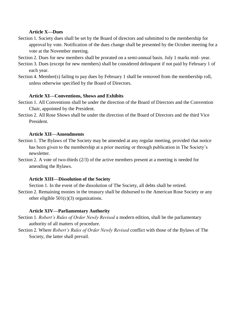### **Article X—Dues**

- Section 1. Society dues shall be set by the Board of directors and submitted to the membership for approval by vote. Notification of the dues change shall be presented by the October meeting for a vote at the November meeting.
- Section 2. Dues for new members shall be prorated on a semi-annual basis. July 1 marks mid- year.
- Section 3. Dues (except for new members) shall be considered delinquent if not paid by February 1 of each year.
- Section 4. Member(s) failing to pay dues by February 1 shall be removed from the membership roll, unless otherwise specified by the Board of Directors.

## **Article XI—Conventions, Shows and Exhibits**

- Section 1. All Conventions shall be under the direction of the Board of Directors and the Convention Chair, appointed by the President.
- Section 2. All Rose Shows shall be under the direction of the Board of Directors and the third Vice President.

## **Article XII—Amendments**

- Section 1. The Bylaws of The Society may be amended at any regular meeting, provided that notice has been given to the membership at a prior meeting or through publication in The Society's newsletter.
- Section 2. A vote of two-thirds (2/3) of the active members present at a meeting is needed for amending the Bylaws.

## **Article XIII—Dissolution of the Society**

Section 1. In the event of the dissolution of The Society, all debts shall be retired. Section 2. Remaining monies in the treasury shall be disbursed to the American Rose Society or any other eligible  $501(c)(3)$  organizations.

## **Article XIV—Parliamentary Authority**

- Section 1. *Robert's Rules of Order Newly Revised* a modern edition, shall be the parliamentary authority of all matters of procedure.
- Section 2. Where *Robert's Rules of Order Newly Revised* conflict with those of the Bylaws of The Society, the latter shall prevail.